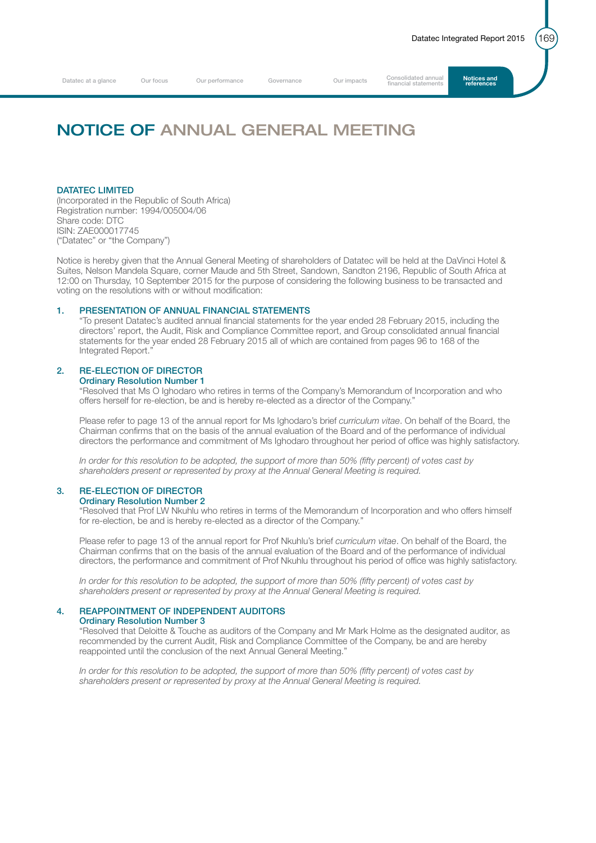Datatec at a glance Our focus Our performance Governance Our impacts Consolidated annual **Notices and**<br>Datatec at a glance Our focus Our performance Governance Our impacts financial statements **references** Consolidated annual **Notices and Key Consolidated annual Report** Financial statements

## NOTICE OF ANNUAL GENERAL MEETING

#### DATATEC LIMITED

(Incorporated in the Republic of South Africa) Registration number: 1994/005004/06 Share code: DTC ISIN: ZAE000017745 ("Datatec" or "the Company")

Notice is hereby given that the Annual General Meeting of shareholders of Datatec will be held at the DaVinci Hotel & Suites, Nelson Mandela Square, corner Maude and 5th Street, Sandown, Sandton 2196, Republic of South Africa at 12:00 on Thursday, 10 September 2015 for the purpose of considering the following business to be transacted and voting on the resolutions with or without modification:

#### 1. PRESENTATION OF ANNUAL FINANCIAL STATEMENTS

 "To present Datatec's audited annual financial statements for the year ended 28 February 2015, including the directors' report, the Audit, Risk and Compliance Committee report, and Group consolidated annual financial statements for the year ended 28 February 2015 all of which are contained from pages 96 to 168 of the Integrated Report."

### 2. RE-ELECTION OF DIRECTOR

#### Ordinary Resolution Number 1

 "Resolved that Ms O Ighodaro who retires in terms of the Company's Memorandum of Incorporation and who offers herself for re-election, be and is hereby re-elected as a director of the Company."

 Please refer to page 13 of the annual report for Ms Ighodaro's brief *curriculum vitae*. On behalf of the Board, the Chairman confirms that on the basis of the annual evaluation of the Board and of the performance of individual directors the performance and commitment of Ms Ighodaro throughout her period of office was highly satisfactory.

 *In order for this resolution to be adopted, the support of more than 50% (fifty percent) of votes cast by shareholders present or represented by proxy at the Annual General Meeting is required.*

## 3. RE-ELECTION OF DIRECTOR

### Ordinary Resolution Number 2

 "Resolved that Prof LW Nkuhlu who retires in terms of the Memorandum of Incorporation and who offers himself for re-election, be and is hereby re-elected as a director of the Company."

 Please refer to page 13 of the annual report for Prof Nkuhlu's brief *curriculum vitae*. On behalf of the Board, the Chairman confirms that on the basis of the annual evaluation of the Board and of the performance of individual directors, the performance and commitment of Prof Nkuhlu throughout his period of office was highly satisfactory.

 *In order for this resolution to be adopted, the support of more than 50% (fifty percent) of votes cast by shareholders present or represented by proxy at the Annual General Meeting is required.*

#### 4. REAPPOINTMENT OF INDEPENDENT AUDITORS Ordinary Resolution Number 3

 "Resolved that Deloitte & Touche as auditors of the Company and Mr Mark Holme as the designated auditor, as recommended by the current Audit, Risk and Compliance Committee of the Company, be and are hereby reappointed until the conclusion of the next Annual General Meeting."

 *In order for this resolution to be adopted, the support of more than 50% (fifty percent) of votes cast by shareholders present or represented by proxy at the Annual General Meeting is required.*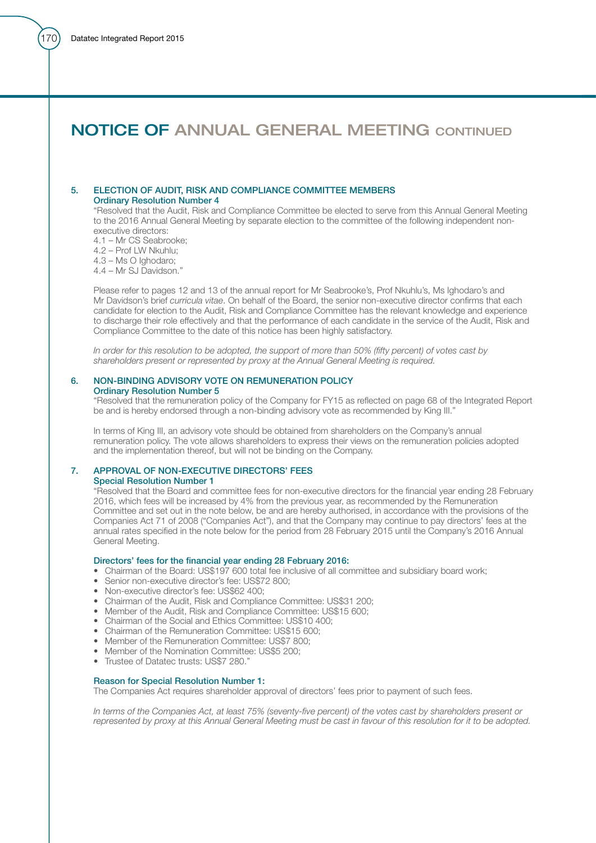## NOTICE OF ANNUAL GENERAL MEETING CONTINUED

#### 5. ELECTION OF AUDIT, RISK AND COMPLIANCE COMMITTEE MEMBERS Ordinary Resolution Number 4

 "Resolved that the Audit, Risk and Compliance Committee be elected to serve from this Annual General Meeting to the 2016 Annual General Meeting by separate election to the committee of the following independent nonexecutive directors:

4.1 – Mr CS Seabrooke;

4.2 – Prof LW Nkuhlu;

4.3 – Ms O Ighodaro;

4.4 – Mr SJ Davidson."

 Please refer to pages 12 and 13 of the annual report for Mr Seabrooke's, Prof Nkuhlu's, Ms Ighodaro's and Mr Davidson's brief *curricula vitae*. On behalf of the Board, the senior non-executive director confirms that each candidate for election to the Audit, Risk and Compliance Committee has the relevant knowledge and experience to discharge their role effectively and that the performance of each candidate in the service of the Audit, Risk and Compliance Committee to the date of this notice has been highly satisfactory.

*In order for this resolution to be adopted, the support of more than 50% (fifty percent) of votes cast by shareholders present or represented by proxy at the Annual General Meeting is required.*

#### 6. NON-BINDING ADVISORY VOTE ON REMUNERATION POLICY Ordinary Resolution Number 5

 "Resolved that the remuneration policy of the Company for FY15 as reflected on page 68 of the Integrated Report be and is hereby endorsed through a non-binding advisory vote as recommended by King III."

 In terms of King III, an advisory vote should be obtained from shareholders on the Company's annual remuneration policy. The vote allows shareholders to express their views on the remuneration policies adopted and the implementation thereof, but will not be binding on the Company.

### 7. APPROVAL OF NON-EXECUTIVE DIRECTORS' FEES

Special Resolution Number 1

 "Resolved that the Board and committee fees for non-executive directors for the financial year ending 28 February 2016, which fees will be increased by 4% from the previous year, as recommended by the Remuneration Committee and set out in the note below, be and are hereby authorised, in accordance with the provisions of the Companies Act 71 of 2008 ("Companies Act"), and that the Company may continue to pay directors' fees at the annual rates specified in the note below for the period from 28 February 2015 until the Company's 2016 Annual General Meeting.

#### Directors' fees for the financial year ending 28 February 2016:

- Chairman of the Board: US\$197 600 total fee inclusive of all committee and subsidiary board work;
- Senior non-executive director's fee: US\$72 800;
- Non-executive director's fee: US\$62 400;
- Chairman of the Audit, Risk and Compliance Committee: US\$31 200;
- Member of the Audit, Risk and Compliance Committee: US\$15 600;
- Chairman of the Social and Ethics Committee: US\$10 400;
- Chairman of the Remuneration Committee: US\$15 600;
- Member of the Remuneration Committee: US\$7 800;
- Member of the Nomination Committee: US\$5 200;
- Trustee of Datatec trusts: US\$7 280."

#### Reason for Special Resolution Number 1:

The Companies Act requires shareholder approval of directors' fees prior to payment of such fees.

 *In terms of the Companies Act, at least 75% (seventy-five percent) of the votes cast by shareholders present or represented by proxy at this Annual General Meeting must be cast in favour of this resolution for it to be adopted.*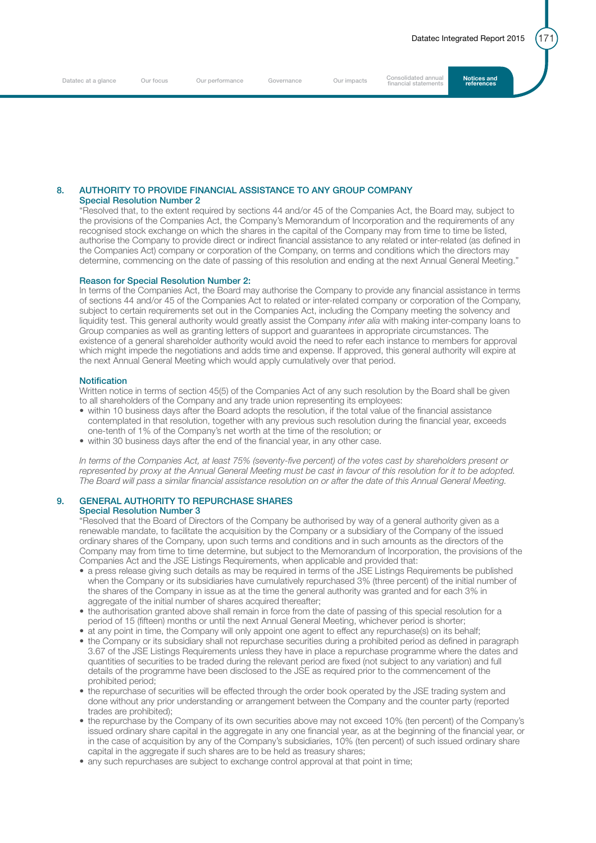#### 8. AUTHORITY TO PROVIDE FINANCIAL ASSISTANCE TO ANY GROUP COMPANY Special Resolution Number 2

 "Resolved that, to the extent required by sections 44 and/or 45 of the Companies Act, the Board may, subject to the provisions of the Companies Act, the Company's Memorandum of Incorporation and the requirements of any recognised stock exchange on which the shares in the capital of the Company may from time to time be listed, authorise the Company to provide direct or indirect financial assistance to any related or inter-related (as defined in the Companies Act) company or corporation of the Company, on terms and conditions which the directors may determine, commencing on the date of passing of this resolution and ending at the next Annual General Meeting."

#### Reason for Special Resolution Number 2:

 In terms of the Companies Act, the Board may authorise the Company to provide any financial assistance in terms of sections 44 and/or 45 of the Companies Act to related or inter-related company or corporation of the Company, subject to certain requirements set out in the Companies Act, including the Company meeting the solvency and liquidity test. This general authority would greatly assist the Company *inter alia* with making inter-company loans to Group companies as well as granting letters of support and guarantees in appropriate circumstances. The existence of a general shareholder authority would avoid the need to refer each instance to members for approval which might impede the negotiations and adds time and expense. If approved, this general authority will expire at the next Annual General Meeting which would apply cumulatively over that period.

#### Notification

Written notice in terms of section 45(5) of the Companies Act of any such resolution by the Board shall be given to all shareholders of the Company and any trade union representing its employees:

- within 10 business days after the Board adopts the resolution, if the total value of the financial assistance contemplated in that resolution, together with any previous such resolution during the financial year, exceeds one-tenth of 1% of the Company's net worth at the time of the resolution; or
- within 30 business days after the end of the financial year, in any other case.

 *In terms of the Companies Act, at least 75% (seventy-five percent) of the votes cast by shareholders present or represented by proxy at the Annual General Meeting must be cast in favour of this resolution for it to be adopted. The Board will pass a similar financial assistance resolution on or after the date of this Annual General Meeting.*

#### 9. GENERAL AUTHORITY TO REPURCHASE SHARES Special Resolution Number 3

 "Resolved that the Board of Directors of the Company be authorised by way of a general authority given as a renewable mandate, to facilitate the acquisition by the Company or a subsidiary of the Company of the issued ordinary shares of the Company, upon such terms and conditions and in such amounts as the directors of the Company may from time to time determine, but subject to the Memorandum of Incorporation, the provisions of the Companies Act and the JSE Listings Requirements, when applicable and provided that:

- a press release giving such details as may be required in terms of the JSE Listings Requirements be published when the Company or its subsidiaries have cumulatively repurchased 3% (three percent) of the initial number of the shares of the Company in issue as at the time the general authority was granted and for each 3% in aggregate of the initial number of shares acquired thereafter;
- the authorisation granted above shall remain in force from the date of passing of this special resolution for a period of 15 (fifteen) months or until the next Annual General Meeting, whichever period is shorter;
- at any point in time, the Company will only appoint one agent to effect any repurchase(s) on its behalf;
- the Company or its subsidiary shall not repurchase securities during a prohibited period as defined in paragraph 3.67 of the JSE Listings Requirements unless they have in place a repurchase programme where the dates and quantities of securities to be traded during the relevant period are fixed (not subject to any variation) and full details of the programme have been disclosed to the JSE as required prior to the commencement of the prohibited period;
- the repurchase of securities will be effected through the order book operated by the JSE trading system and done without any prior understanding or arrangement between the Company and the counter party (reported trades are prohibited);
- the repurchase by the Company of its own securities above may not exceed 10% (ten percent) of the Company's issued ordinary share capital in the aggregate in any one financial year, as at the beginning of the financial year, or in the case of acquisition by any of the Company's subsidiaries, 10% (ten percent) of such issued ordinary share capital in the aggregate if such shares are to be held as treasury shares;
- any such repurchases are subject to exchange control approval at that point in time;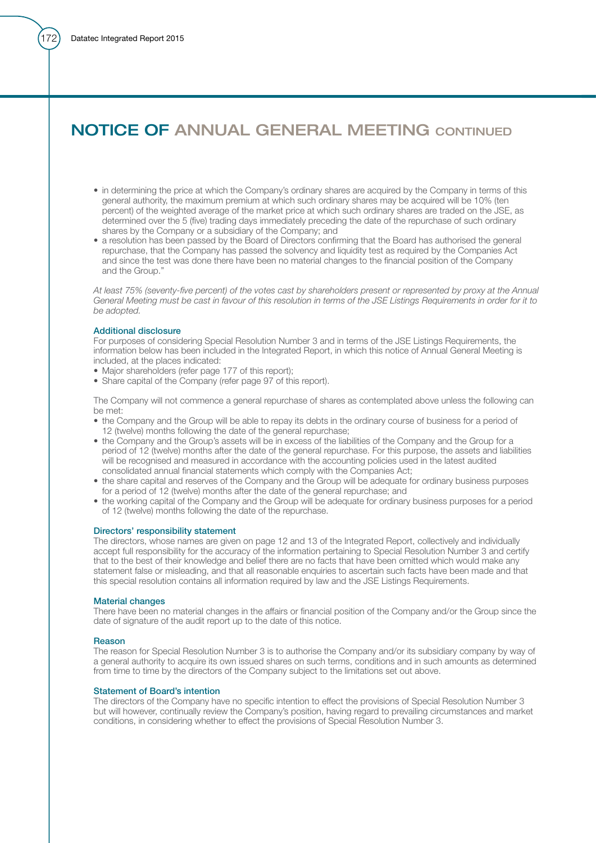# **NOTICE OF ANNUAL GENERAL MEETING CONTINUED**

- in determining the price at which the Company's ordinary shares are acquired by the Company in terms of this general authority, the maximum premium at which such ordinary shares may be acquired will be 10% (ten percent) of the weighted average of the market price at which such ordinary shares are traded on the JSE, as determined over the 5 (five) trading days immediately preceding the date of the repurchase of such ordinary shares by the Company or a subsidiary of the Company; and
- a resolution has been passed by the Board of Directors confirming that the Board has authorised the general repurchase, that the Company has passed the solvency and liquidity test as required by the Companies Act and since the test was done there have been no material changes to the financial position of the Company and the Group."

 *At least 75% (seventy-five percent) of the votes cast by shareholders present or represented by proxy at the Annual General Meeting must be cast in favour of this resolution in terms of the JSE Listings Requirements in order for it to be adopted.*

#### Additional disclosure

 For purposes of considering Special Resolution Number 3 and in terms of the JSE Listings Requirements, the information below has been included in the Integrated Report, in which this notice of Annual General Meeting is included, at the places indicated:

- Major shareholders (refer page 177 of this report);
- Share capital of the Company (refer page 97 of this report).

 The Company will not commence a general repurchase of shares as contemplated above unless the following can be met:

- the Company and the Group will be able to repay its debts in the ordinary course of business for a period of 12 (twelve) months following the date of the general repurchase;
- the Company and the Group's assets will be in excess of the liabilities of the Company and the Group for a period of 12 (twelve) months after the date of the general repurchase. For this purpose, the assets and liabilities will be recognised and measured in accordance with the accounting policies used in the latest audited consolidated annual financial statements which comply with the Companies Act;
- the share capital and reserves of the Company and the Group will be adequate for ordinary business purposes for a period of 12 (twelve) months after the date of the general repurchase; and
- the working capital of the Company and the Group will be adequate for ordinary business purposes for a period of 12 (twelve) months following the date of the repurchase.

#### Directors' responsibility statement

 The directors, whose names are given on page 12 and 13 of the Integrated Report, collectively and individually accept full responsibility for the accuracy of the information pertaining to Special Resolution Number 3 and certify that to the best of their knowledge and belief there are no facts that have been omitted which would make any statement false or misleading, and that all reasonable enquiries to ascertain such facts have been made and that this special resolution contains all information required by law and the JSE Listings Requirements.

#### Material changes

 There have been no material changes in the affairs or financial position of the Company and/or the Group since the date of signature of the audit report up to the date of this notice.

#### Reason

 The reason for Special Resolution Number 3 is to authorise the Company and/or its subsidiary company by way of a general authority to acquire its own issued shares on such terms, conditions and in such amounts as determined from time to time by the directors of the Company subject to the limitations set out above.

#### Statement of Board's intention

 The directors of the Company have no specific intention to effect the provisions of Special Resolution Number 3 but will however, continually review the Company's position, having regard to prevailing circumstances and market conditions, in considering whether to effect the provisions of Special Resolution Number 3.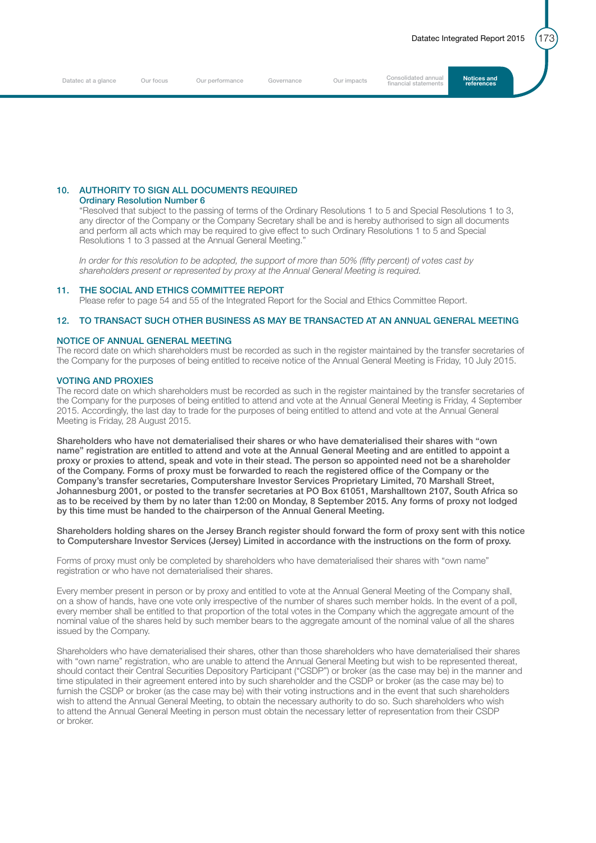### 10. AUTHORITY TO SIGN ALL DOCUMENTS REQUIRED

Ordinary Resolution Number 6

 "Resolved that subject to the passing of terms of the Ordinary Resolutions 1 to 5 and Special Resolutions 1 to 3, any director of the Company or the Company Secretary shall be and is hereby authorised to sign all documents and perform all acts which may be required to give effect to such Ordinary Resolutions 1 to 5 and Special Resolutions 1 to 3 passed at the Annual General Meeting."

 *In order for this resolution to be adopted, the support of more than 50% (fifty percent) of votes cast by shareholders present or represented by proxy at the Annual General Meeting is required.*

#### 11. THE SOCIAL AND ETHICS COMMITTEE REPORT

Please refer to page 54 and 55 of the Integrated Report for the Social and Ethics Committee Report.

#### 12. TO TRANSACT SUCH OTHER BUSINESS AS MAY BE TRANSACTED AT AN ANNUAL GENERAL MEETING

#### NOTICE OF ANNUAL GENERAL MEETING

The record date on which shareholders must be recorded as such in the register maintained by the transfer secretaries of the Company for the purposes of being entitled to receive notice of the Annual General Meeting is Friday, 10 July 2015.

#### VOTING AND PROXIES

The record date on which shareholders must be recorded as such in the register maintained by the transfer secretaries of the Company for the purposes of being entitled to attend and vote at the Annual General Meeting is Friday, 4 September 2015. Accordingly, the last day to trade for the purposes of being entitled to attend and vote at the Annual General Meeting is Friday, 28 August 2015.

Shareholders who have not dematerialised their shares or who have dematerialised their shares with "own name" registration are entitled to attend and vote at the Annual General Meeting and are entitled to appoint a proxy or proxies to attend, speak and vote in their stead. The person so appointed need not be a shareholder of the Company. Forms of proxy must be forwarded to reach the registered office of the Company or the Company's transfer secretaries, Computershare Investor Services Proprietary Limited, 70 Marshall Street, Johannesburg 2001, or posted to the transfer secretaries at PO Box 61051, Marshalltown 2107, South Africa so as to be received by them by no later than 12:00 on Monday, 8 September 2015. Any forms of proxy not lodged by this time must be handed to the chairperson of the Annual General Meeting.

Shareholders holding shares on the Jersey Branch register should forward the form of proxy sent with this notice to Computershare Investor Services (Jersey) Limited in accordance with the instructions on the form of proxy.

Forms of proxy must only be completed by shareholders who have dematerialised their shares with "own name" registration or who have not dematerialised their shares.

Every member present in person or by proxy and entitled to vote at the Annual General Meeting of the Company shall, on a show of hands, have one vote only irrespective of the number of shares such member holds. In the event of a poll, every member shall be entitled to that proportion of the total votes in the Company which the aggregate amount of the nominal value of the shares held by such member bears to the aggregate amount of the nominal value of all the shares issued by the Company.

Shareholders who have dematerialised their shares, other than those shareholders who have dematerialised their shares with "own name" registration, who are unable to attend the Annual General Meeting but wish to be represented thereat, should contact their Central Securities Depository Participant ("CSDP") or broker (as the case may be) in the manner and time stipulated in their agreement entered into by such shareholder and the CSDP or broker (as the case may be) to furnish the CSDP or broker (as the case may be) with their voting instructions and in the event that such shareholders wish to attend the Annual General Meeting, to obtain the necessary authority to do so. Such shareholders who wish to attend the Annual General Meeting in person must obtain the necessary letter of representation from their CSDP or broker.